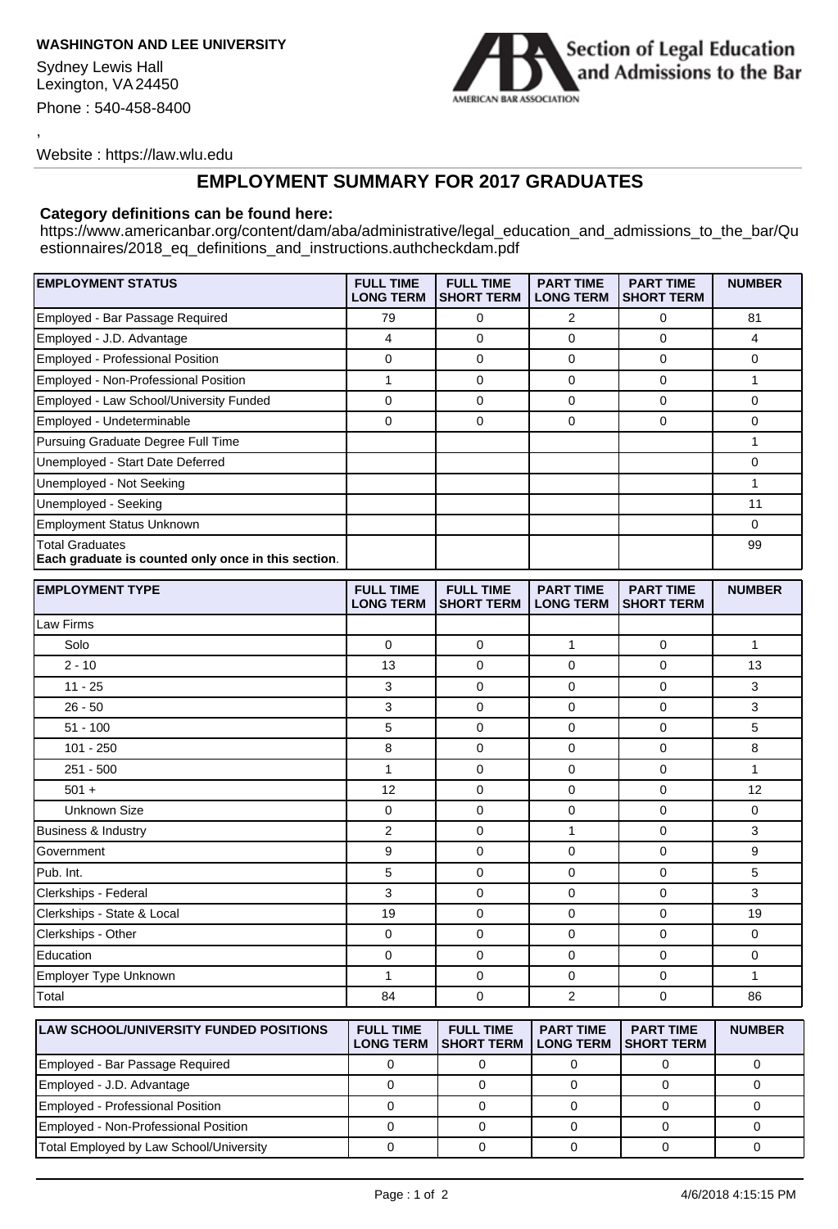## **WASHINGTON AND LEE UNIVERSITY**

Sydney Lewis Hall Lexington, VA 24450 Phone : 540-458-8400

,



Website : https://law.wlu.edu

## **EMPLOYMENT SUMMARY FOR 2017 GRADUATES**

## **Category definitions can be found here:**

https://www.americanbar.org/content/dam/aba/administrative/legal\_education\_and\_admissions\_to\_the\_bar/Qu estionnaires/2018\_eq\_definitions\_and\_instructions.authcheckdam.pdf

| <b>EMPLOYMENT STATUS</b>                                                      | <b>FULL TIME</b><br><b>LONG TERM</b> | <b>FULL TIME</b><br><b>SHORT TERM</b> | <b>PART TIME</b><br><b>LONG TERM</b> | <b>PART TIME</b><br><b>SHORT TERM</b> | <b>NUMBER</b> |
|-------------------------------------------------------------------------------|--------------------------------------|---------------------------------------|--------------------------------------|---------------------------------------|---------------|
| Employed - Bar Passage Required                                               | 79                                   | 0                                     | 2                                    | 0                                     | 81            |
| Employed - J.D. Advantage                                                     | $\overline{4}$                       | 0                                     | $\mathbf 0$                          | 0                                     | 4             |
| Employed - Professional Position                                              | 0                                    | 0                                     | 0                                    | 0                                     | 0             |
| Employed - Non-Professional Position                                          | $\mathbf{1}$                         | $\mathbf 0$                           | 0                                    | 0                                     | 1             |
| Employed - Law School/University Funded                                       | 0                                    | 0                                     | 0                                    | 0                                     | 0             |
| Employed - Undeterminable                                                     | 0                                    | 0                                     | $\mathbf 0$                          | 0                                     | 0             |
| Pursuing Graduate Degree Full Time                                            |                                      |                                       |                                      |                                       | 1             |
| Unemployed - Start Date Deferred                                              |                                      |                                       |                                      |                                       | 0             |
| Unemployed - Not Seeking                                                      |                                      |                                       |                                      |                                       | 1             |
| Unemployed - Seeking                                                          |                                      |                                       |                                      |                                       | 11            |
| <b>Employment Status Unknown</b>                                              |                                      |                                       |                                      |                                       | 0             |
| <b>Total Graduates</b><br>Each graduate is counted only once in this section. |                                      |                                       |                                      |                                       | 99            |
| <b>EMPLOYMENT TYPE</b>                                                        | <b>FULL TIME</b><br><b>LONG TERM</b> | <b>FULL TIME</b><br><b>SHORT TERM</b> | <b>PART TIME</b><br><b>LONG TERM</b> | <b>PART TIME</b><br><b>SHORT TERM</b> | <b>NUMBER</b> |
| Law Firms                                                                     |                                      |                                       |                                      |                                       |               |
| Solo                                                                          | 0                                    | $\mathbf 0$                           | $\mathbf{1}$                         | $\mathbf 0$                           | 1             |
| $2 - 10$                                                                      | 13                                   | 0                                     | 0                                    | 0                                     | 13            |
| $11 - 25$                                                                     | 3                                    | 0                                     | 0                                    | 0                                     | 3             |
| $26 - 50$                                                                     | 3                                    | 0                                     | $\mathbf 0$                          | 0                                     | 3             |
| $51 - 100$                                                                    | 5                                    | 0                                     | $\mathbf 0$                          | 0                                     | 5             |
| $101 - 250$                                                                   | 8                                    | 0                                     | $\mathbf 0$                          | 0                                     | 8             |
| $251 - 500$                                                                   | $\mathbf{1}$                         | 0                                     | $\mathbf 0$                          | 0                                     | $\mathbf{1}$  |
| $501 +$                                                                       | 12                                   | 0                                     | $\mathbf 0$                          | 0                                     | 12            |
| Unknown Size                                                                  | 0                                    | 0                                     | 0                                    | 0                                     | 0             |
| <b>Business &amp; Industry</b>                                                | $\overline{2}$                       | 0                                     | 1                                    | 0                                     | 3             |
| Government                                                                    | 9                                    | 0                                     | 0                                    | 0                                     | 9             |
| Pub. Int.                                                                     | 5                                    | 0                                     | $\mathbf 0$                          | 0                                     | 5             |
| Clerkships - Federal                                                          | 3                                    | 0                                     | 0                                    | 0                                     | 3             |
| Clerkships - State & Local                                                    | 19                                   | 0                                     | 0                                    | 0                                     | 19            |
| Clerkships - Other                                                            | 0                                    | 0                                     | $\mathbf 0$                          | 0                                     | 0             |
| Education                                                                     | 0                                    | 0                                     | 0                                    | 0                                     | 0             |
| Employer Type Unknown                                                         | $\mathbf{1}$                         | 0                                     | 0                                    | 0                                     | 1             |
| Total                                                                         | 84                                   | 0                                     | $\overline{2}$                       | 0                                     | 86            |
| <b>LAW SCHOOL/UNIVERSITY FUNDED POSITIONS</b>                                 | <b>FULL TIME</b>                     | <b>FULL TIME</b>                      | <b>PART TIME</b>                     | <b>PART TIME</b>                      | <b>NUMBER</b> |

| <b>ILAW SCHOOL/UNIVERSITY FUNDED POSITIONS</b> | <b>FULL TIME</b> | <b>FULL TIME</b><br>LONG TERM ISHORT TERM I LONG TERM | PARI IME | <b>PARI IME</b><br><b>ISHORT TERM</b> | <b>NUMBER</b> |
|------------------------------------------------|------------------|-------------------------------------------------------|----------|---------------------------------------|---------------|
| Employed - Bar Passage Required                |                  |                                                       |          |                                       |               |
| Employed - J.D. Advantage                      |                  |                                                       |          |                                       |               |
| Employed - Professional Position               |                  |                                                       |          |                                       |               |
| Employed - Non-Professional Position           |                  |                                                       |          |                                       |               |
| Total Employed by Law School/University        |                  |                                                       |          |                                       |               |